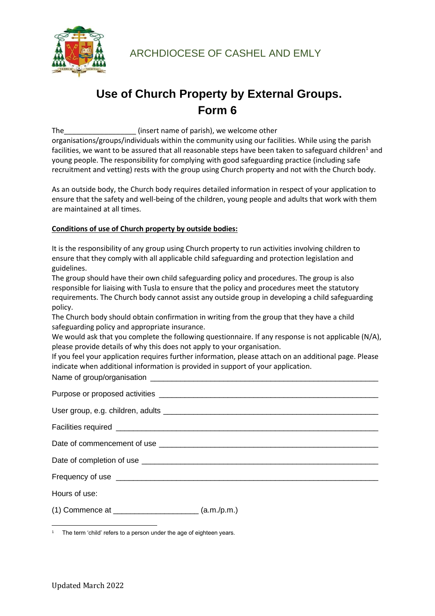

## **Use of Church Property by External Groups. Form 6**

The\_\_\_\_\_\_\_\_\_\_\_\_\_\_\_\_\_\_ (insert name of parish), we welcome other organisations/groups/individuals within the community using our facilities. While using the parish facilities, we want to be assured that all reasonable steps have been taken to safeguard children<sup>1</sup> and young people. The responsibility for complying with good safeguarding practice (including safe recruitment and vetting) rests with the group using Church property and not with the Church body.

As an outside body, the Church body requires detailed information in respect of your application to ensure that the safety and well-being of the children, young people and adults that work with them are maintained at all times.

## **Conditions of use of Church property by outside bodies:**

It is the responsibility of any group using Church property to run activities involving children to ensure that they comply with all applicable child safeguarding and protection legislation and guidelines.

The group should have their own child safeguarding policy and procedures. The group is also responsible for liaising with Tusla to ensure that the policy and procedures meet the statutory requirements. The Church body cannot assist any outside group in developing a child safeguarding policy.

The Church body should obtain confirmation in writing from the group that they have a child safeguarding policy and appropriate insurance.

We would ask that you complete the following questionnaire. If any response is not applicable (N/A), please provide details of why this does not apply to your organisation.

If you feel your application requires further information, please attach on an additional page. Please indicate when additional information is provided in support of your application.

Name of group/organisation \_

| Hours of use:                                                                                                                                                                                                                                                                             |             |
|-------------------------------------------------------------------------------------------------------------------------------------------------------------------------------------------------------------------------------------------------------------------------------------------|-------------|
| (1) Commence at $\frac{1}{2}$ and $\frac{1}{2}$ and $\frac{1}{2}$ and $\frac{1}{2}$ and $\frac{1}{2}$ and $\frac{1}{2}$ and $\frac{1}{2}$ and $\frac{1}{2}$ and $\frac{1}{2}$ and $\frac{1}{2}$ and $\frac{1}{2}$ and $\frac{1}{2}$ and $\frac{1}{2}$ and $\frac{1}{2}$ and $\frac{1}{2}$ | (a.m./p.m.) |

<sup>1</sup> The term 'child' refers to a person under the age of eighteen years.